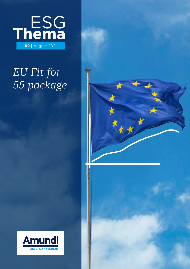

# *EU Fit for 55 package*



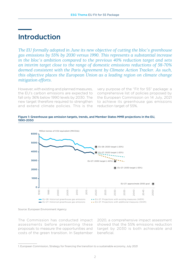## Introduction

*The EU formally adopted in June its new objective of cutting the bloc's greenhouse gas emissions by 55% by 2030 versus 1990. This represents a substantial increase in the bloc's ambition compared to the previous 40% reduction target and sets an interim target close to the range of domestic emissions reductions of 58-70% deemed consistent with the Paris Agreement by Climate Action Tracker. As such, this objective places the European Union as a leading region on climate change mitigation efforts.*

However, with existing and planned measures, the EU's carbon emissions are expected to fall only 36% below 1990 levels by 2030. The new target therefore required to strengthen and extend climate policies. This is the

very purpose of the "Fit for 55" package: a comprehensive list of policies proposed by the European Commission on 14 July, 2021 to achieve its greenhouse gas emissions reduction target of 55%.



EU-28: 2020 target (-20%) EU-27: 2020 target (-20%)

EU-27: 2030 target (-40%)





Source: European Environment Agency

4000

3000

The Commission has conducted impact assessments before presenting these proposals to measure the opportunities and costs of the green transition. In September

2020, a comprehensive impact assessment showed that the 55% emissions reduction target by 2030 is both achievable and beneficial.

<sup>1.</sup> European Commission, Strategy for financing the transition to a sustainable economy, July 2021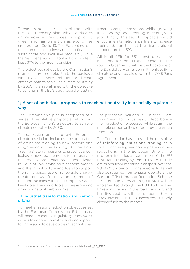These proposals are also aligned with the EU's recovery plan, which dedicates unprecedented resources to support a green and fair transition as economies emerge from Covid-19. The EU continues to focus on unlocking investment to finance a sustainable and inclusive recovery<sup>1</sup>, while the NextGenerationEU tool will contribute at least 37% to the green transition<sup>2</sup>.

The objectives set out by the Commission's proposals are multiple. First, the package aims to set a more ambitious and costeffective path to achieving climate neutrality by 2050. It is also aligned with the objective to continuing the EU's track record of cutting

greenhouse gas emissions, whilst growing its economy and creating decent green jobs. Finally, this set of proposals should encourage international partners to increase their ambition to limit the rise in global temperature to 1.5°C.

All in all, "Fit for 55" constitutes a key milestone for the European Union on the road to Glasgow. It will be the backbone of the EU's delivery on its commitments to fight climate change, as laid down in the 2015 Paris Agreement.

### 1) A set of ambitious proposals to reach net neutrality in a socially equitable way

The Commission's plan is composed of a series of legislative proposals setting out the European Union's trajectory to achieve climate neutrality by 2050.

The package proposes to revise European climate legislation, including: the application of emissions trading to new sectors and a tightening of the existing EU Emissions Trading System; measures to prevent carbon leakage; new requirements for industry to decarbonize production processes; a faster roll-out of low emission transport modes and the infrastructure and fuels to support them; increased use of renewable energy; greater energy efficiency; an alignment of taxation policies with the European Green Deal objectives; and tools to preserve and grow our natural carbon sinks.

#### 1.1 Industrial transformation and carbon pricing

To meet emissions reduction objectives set by the European Commission, EU industry will need a coherent regulatory framework, access to adapted infrastructure and support for innovation to develop clean technologies.

The proposals included in "Fit for 55" are thus meant for industries to decarbonize their production processes, while seizing the multiple opportunities offered by the green transition.

The Commission has assessed the possibility of reinforcing emissions trading as a tool to achieve greenhouse gas emissions reductions in the European Union. The proposal includes an extension of the EU Emissions Trading System (ETS) to include emissions from maritime transport over the 2023-2035 period. Enhanced efforts will also be required from aviation operators: the Carbon Offsetting and Reduction Scheme for International Aviation (CORSIA) will be implemented through the EU ETS Directive. Emissions trading in the road transport and building sectors will also be applied from 2026 onward to increase incentives to supply cleaner fuels to the market.

<sup>2.</sup> https://ec.europa.eu/commission/presscorner/detail/en/ip\_20\_2397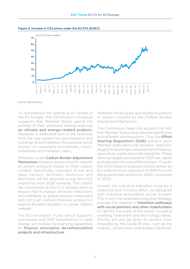

#### Figure 2: Increase in CO2 prices under the EU ETS (EUR/t)

Source: Bloomberg

To complement the spending on climate in the EU budget, the Commission's proposal suggests that Member States spend the entirety of their emissions trading revenues on climate and energy-related projects. Moreover, a dedicated part of the revenues from the new system for road transport and buildings should address the possible social impact on vulnerable households, microenterprises and transport users.

Moreover, a new Carbon Border Adjustment Mechanism will set a carbon price for imports of certain products based on their carbon content. Specifically, importers of iron and steel, cement, fertilizers, aluminum and electricity will be required to pay this CO2 import tax from 2026 onwards. This carbon tax mechanism at the EU's borders aims to ensure that European emission reductions will contribute to global emission reductions and not push carbon-intensive production beyond Europe's borders, i.e. cause "carbon leakage".

The EU Innovation Fund, which supports businesses and SME investments in clean energy will increase its financing capabilities to finance innovative decarbonization projects and infrastructure.

Attention will be given specifically to projects in sectors covered by the Carbon Border Adjustment Mechanism.

The Commission takes into account the fact that Member States have national specificities and different starting points. Thus, the **Effort** Sharing Regulation (ESR) assigns each Member State particular emission reduction targets for buildings, road and inland shipping, agriculture, waste and small industries. These national targets are based on GDP per capita and adjusted for cost-effectiveness. Overall, the Commission's proposal should deliver an EU-wide emission reduction of 40% from the aforementioned sectors by 2030, compared to 2005.

Overall, the industrial transition must be a collective and inclusive effort, co-designed with industrial ecosystems across Europe. This is why the amended Industrial Strategy includes the creation of **transition pathways** with social partners and other stakeholders to identify the scale of the needs, including reskilling, investment and technology needs. Priority will also be given to sectors most impacted by the Covid-19 crisis, such as the mobility, construction and energy industries.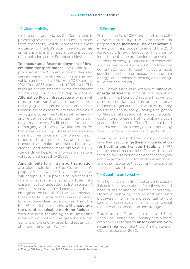#### 1.2 Clean mobility

On top of carbon pricing, the Commission is proposing new measures to reduce emissions from transport, which represents almost a quarter of the EU's total greenhouse gas emissions and is the most important source of air pollution across European cities<sup>3</sup>.

To encourage a faster deployment of lowemission transport modes, the Commission proposes stricter CO2 emission standards for cars and vans, thereby reducing average new vehicle emissions by 55% from 2030 and by 100% from 2035, compared to 2021 levels. This measure is complemented by the amendment of the regulation on the deployment of Alternative Fuels Infrastructure, which will require Member States to increase their recharging capacity in line with the ambition to increase the sales of zero-emission vehicles. It will require governments to install recharging and refueling points at regular intervals on major roads: every 60 kilometers for electric recharging and every 150 kilometers for hydrogen refueling. These measures are meant to reinforce and complement each other: putting a price on carbon for road transport will make the existing fleet drive cleaner, and setting more ambitious CO2 standards will help to get more zero emissions vehicles on the road by 2030.

Amendments to air transport regulation are also included in the Commission's proposals. The ReFuelEU Aviation Initiative

will compel fuel suppliers to increase the share of sustainable aviation fuels into existing jet fuel uploaded at EU airports. A zero emission aviation Alliance, which should emerge at the end of 2021, will complement these efforts to ensure the market is ready for disruptive clean technologies. Then, the FuelEU Maritime Initiative will encourage the use of sustainable maritime fuels and zero-emission technologies by imposing a maximum limit on the greenhouse gas content of the energy used by ships arriving at or departing from EU ports.

#### 1.3 Energy

To reach the EU's 2030 target and eventually climate neutrality, the Commission is proposing an increased use of renewable energy, with a proposal to amend the 2018 Renewable Energy Directive. This change intends to raise the production target so that the share of energy produced from renewable sources reaches 40% by 2030, up from the current 32% level. To reach this overall goal, specific targets are proposed for renewable energy use in transport, heating and cooling, buildings and industry.

The Commission also wishes to *improve* energy efficiency through the recast of the Energy Efficiency Directive that will set a more ambitious binding annual energy reduction target at the EU level. It will notably double the annual energy savings obligation for Member States and will require the public sector to renovate 3% of its buildings each year to drive national efforts. This should lead to a 9% reduction in energy consumption by 2030, compared to baseline projections<sup>4</sup>.

Then, a revision of the Energy Taxation Directive is set to align the minimum taxation for heating and transport fuels with EU energy and climate policies. This will be done through the promotion of clean technologies and the removal of outdated tax exemptions and other incentives that currently encourage the use of fossil fuels.

#### 1.4 Counting on forestry

The fight against climate change is closely linked to the preservation of biodiversity, and both crises cannot be treated separately. Notably, restoring nature and enabling biodiversity to thrive are essential to help land and ocean ecosystems fulfil their crucial role of carbon absorption and storage.

The updated Regulation on Land Use, Land Use Change and Forestry sets a more ambitious EU target to **absorb carbon from** natural sinks, equivalent to 310 million tons of CO2 emissions by 2030.

<sup>3.</sup> European Commission https://ec.europa.eu/clima/policies/transport\_en

<sup>4.</sup> Energy Efficiency Directive, 2020 Reference scenario baseline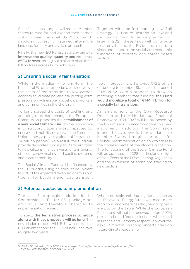Specific national targets will require Member States to care for and expand their carbon sinks to meet this goal. By 2035, the EU should aim to reach climate neutrality in the land use, forestry and agriculture sectors.

Finally, the new EU Forest Strategy aims to improve the quality, quantity and resilience of EU forests, setting out a plan to plant three billion trees across Europe by 2030.

2) Ensuring a socially fair transition:

While in the medium - to long-term, the benefits of EU climate policies clearly outweigh the costs of the transition to low-carbon economies, climate policies risk putting extra pressure on vulnerable households, workers and communities in the short run.

To fairly spread the costs of tackling and adapting to climate change, the European Commission proposes the establishment of a new Social Climate Fund. Its main objective is to support citizens most impacted by energy and mobility poverty. In the European Union, energy poverty alone affects up to 34 million people<sup>5</sup>. As a result, the fund will provide dedicated funding to Member States to help citizens finance investments in energy efficiency, new heating and cooling systems, and cleaner mobility.

The Social Climate Fund will be financed by the EU budget, using an amount equivalent to 25% of the expected revenues of emissions trading for building and road transport

Together with the forthcoming New Soil Strategy, EU Nature Restoration Law and Carbon Farming Initiative planned for later in 2021, these laws will contribute to strengthening the EU's natural carbon sinks and support the social and economic functions of forestry and forest-based sectors.

fuels. Moreover, it will provide €72.2 billion of funding to Member States, for the period 2025-2032. With a proposal to draw on matching Member State funding, the Fund would mobilize a total of €144.4 billion for a socially fair transition.

An amendment to the Own Resource Decision and the Multiannual Financial Framework 2021-2027 will be proposed by the Commission to accommodate this new instrument. In addition, the Commission intends to lay down further guidance to Member States through a proposal for Council Recommendation on how to address the social aspects of the climate transition. The functioning of the Social Climate Fund will be assessed in 2028, particularly in light of the effects of the Effort Sharing Regulation and the extension of emissions trading to new sectors.

## 3) Potential obstacles to implementation

The set of proposals included in the Commission's "Fit for 55" package are ambitious, and therefore obstacles to implementation remain.

To start, the legislative process to move along with these proposals will be long. The negotiation process with EU lawmakers – the EU Parliament and the EU Council – can take roughly two years.

Where possible, existing legislation such as the Renewable Energy Directive is made more ambitious, and where needed, new proposals are put on the table. While the European Parliament will not be renewed before 2024, presidential and federal elections will be held in France and Germany respectively over the next 12 months, creating uncertainties on future climate leadership.

<sup>5. &</sup>quot;Fit for 55 delivering EU's 2030 climate targets" https://eur-lex.europa.eu/legal-content/EN/ TXT/?uri=CELEX:52021DC0550#footnote6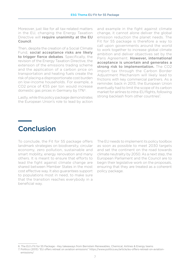Moreover, just like for all tax-related matters in the EU, changing the Energy Taxation Directive will require unanimity at the EU Council.

Then, despite the creation of a Social Climate Fund, social acceptance risks are likely to trigger fierce debates. Specifically, the revision of the Energy Taxation Directive, the extension of the emissions trading scheme and the application of a carbon price on transportation and heating fuels create the risk of placing a disproportionate cost burden on low-income households. For example, a CO2 price of €55 per ton would increase domestic gas prices in Germany by 17%6.

Lastly, while this policy package demonstrates the European Union's role to lead by action

and example in the fight against climate change, it cannot alone deliver the global emission reduction the planet needs. The Fit for 55 package is therefore a way to call upon governments around the world to work together to increase global climate ambition and deliver objectives set by the Paris Agreement. However, international acceptance is uncertain and generates a strong risk to implementation. The CO2 import tax through the Carbon Border Adjustment Mechanism will likely lead to frictions with key commercial partners. As a reminder, back in 2013, the European Union eventually had to limit the scope of its carbon market for airlines to intra-EU flights, following strong backlash from other countries<sup>7</sup>.

# **Conclusion**

To conclude, the Fit for 55 package offers landmark strategies on biodiversity, circular economy, zero pollution, sustainable and smart mobility, energy renovation and many others. It is meant to ensure that efforts to lead the fight against climate change are shared between Member States in the most cost effective way. It also guarantees support to populations most in need, to make sure that the transition reaches everybody in a beneficial way.

The EU needs to implement its policy toolbox as soon as possible to meet 2030 targets and set the continent on the road towards climate neutrality by 2050. As a next step, the European Parliament and the Council are to begin their legislative work on the proposals, ensuring that they are treated as a coherent policy package.

<sup>6.</sup> The EU's Fit for 55 Package - Key takeaways from Bernstein Renewables, Chemical, Airlines & Energy teams

<sup>7.</sup> Politico (2013) "EU offers retreat on aviation emissions" https://www.politico.eu/article/eu-offers-retreat-on-aviationemissions/